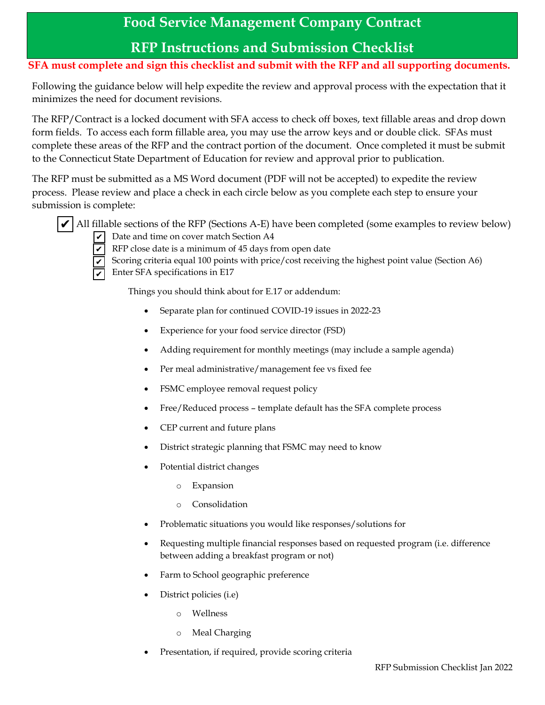## **Food Service Management Company Contract**

## **RFP Instructions and Submission Checklist**

## **SFA must complete and sign this checklist and submit with the RFP and all supporting documents.**

Following the guidance below will help expedite the review and approval process with the expectation that it minimizes the need for document revisions.

The RFP/Contract is a locked document with SFA access to check off boxes, text fillable areas and drop down form fields. To access each form fillable area, you may use the arrow keys and or double click. SFAs must complete these areas of the RFP and the contract portion of the document. Once completed it must be submit to the Connecticut State Department of Education for review and approval prior to publication.

The RFP must be submitted as a MS Word document (PDF will not be accepted) to expedite the review process. Please review and place a check in each circle below as you complete each step to ensure your submission is complete:



 $\blacktriangledown$  All fillable sections of the RFP (Sections A-E) have been completed (some examples to review below)  $\triangledown$  Date and time on cover match Section A4



 $\triangledown$  RFP close date is a minimum of 45 days from open date

Scoring criteria equal 100 points with price/cost receiving the highest point value (Section A6)  $\triangledown$  Enter SFA specifications in E17

Things you should think about for E.17 or addendum:

- Separate plan for continued COVID-19 issues in 2022-23
- Experience for your food service director (FSD)
- Adding requirement for monthly meetings (may include a sample agenda)
- Per meal administrative/management fee vs fixed fee
- FSMC employee removal request policy
- Free/Reduced process template default has the SFA complete process
- CEP current and future plans
- District strategic planning that FSMC may need to know
- Potential district changes
	- o Expansion
	- o Consolidation
- Problematic situations you would like responses/solutions for
- Requesting multiple financial responses based on requested program (i.e. difference between adding a breakfast program or not)
- Farm to School geographic preference
- District policies (i.e)
	- o Wellness
	- o Meal Charging
- Presentation, if required, provide scoring criteria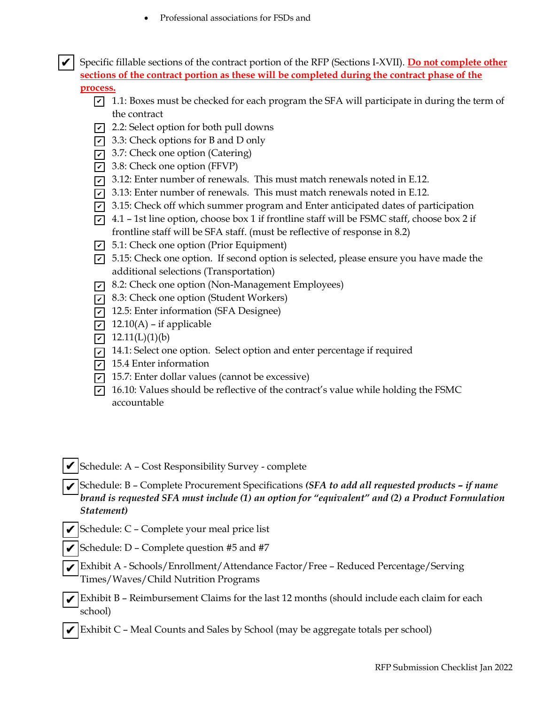Professional associations for FSDs and

 $\vec{v}$  Specific fillable sections of the contract portion of the RFP (Sections I-XVII). **Do not complete other sections of the contract portion as these will be completed during the contract phase of the process.**

- $\overline{Q}$  1.1: Boxes must be checked for each program the SFA will participate in during the term of the contract
- $\overline{Q}$  2.2: Select option for both pull downs
- $\triangledown$  3.3: Check options for B and D only
- $\vec{v}$  3.7: Check one option (Catering)
- $\overline{Q}$  3.8: Check one option (FFVP)
- $\bar{p}$  3.12: Enter number of renewals. This must match renewals noted in E.12.
- $\overline{6}$  3.13: Enter number of renewals. This must match renewals noted in E.12.
- $\overline{6}$  3.15: Check off which summer program and Enter anticipated dates of participation
- $\triangledown$  4.1 1st line option, choose box 1 if frontline staff will be FSMC staff, choose box 2 if frontline staff will be SFA staff. (must be reflective of response in 8.2)
- $\overline{y}$  5.1: Check one option (Prior Equipment)
- $\overline{6}$  5.15: Check one option. If second option is selected, please ensure you have made the additional selections (Transportation)
- $\triangledown$  8.2: Check one option (Non-Management Employees)
- $\triangledown$  8.3: Check one option (Student Workers)
- $\triangledown$  12.5: Enter information (SFA Designee)
- $\triangledown$  12.10(A) if applicable
- $\vec{v}$  12.11(L)(1)(b)
- $\overline{v}$  14.1: Select one option. Select option and enter percentage if required
- $\overline{v}$  15.4 Enter information
- $\overline{v}$  15.7: Enter dollar values (cannot be excessive)
- $\overline{Q}$  16.10: Values should be reflective of the contract's value while holding the FSMC accountable
- $\blacktriangledown$ Schedule: A Cost Responsibility Survey complete
- $\overline{\mathbf{v}}$  Schedule: B Complete Procurement Specifications *(SFA to add all requested products if name brand is requested SFA must include (1) an option for "equivalent" and (2) a Product Formulation Statement)*
- Schedule: C Complete your meal price list ✔
- Schedule: D Complete question #5 and #7 ✔
- <sup>Exhibit</sup> A Schools/Enrollment/Attendance Factor/Free Reduced Percentage/Serving Times/Waves/Child Nutrition Programs ✔
- Exhibit B Reimbursement Claims for the last 12 months (should include each claim for each school) ✔
- $\vec{v}$  Exhibit C Meal Counts and Sales by School (may be aggregate totals per school)